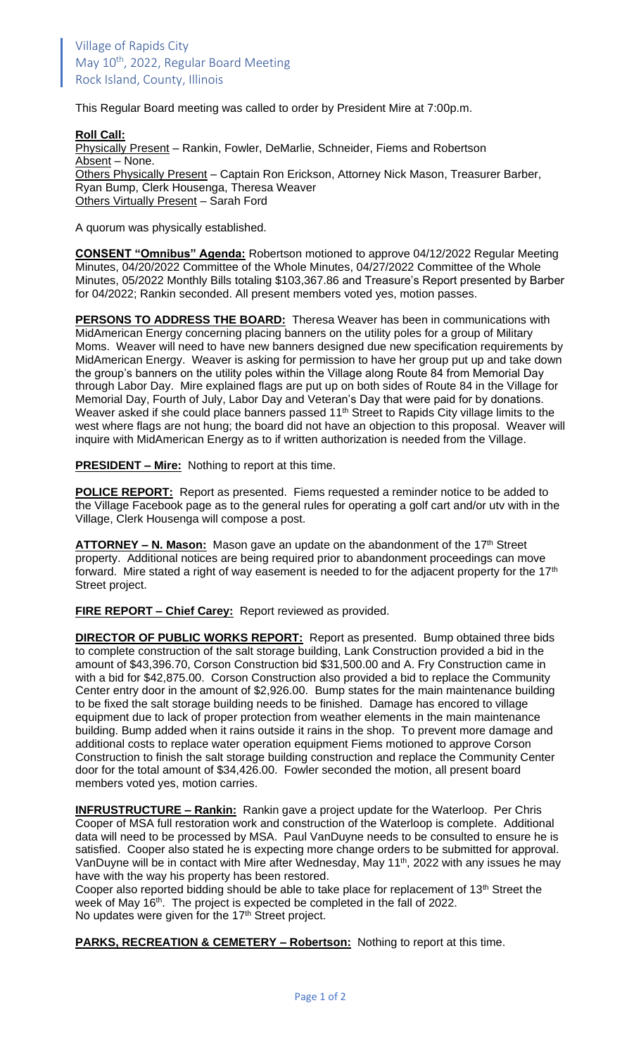This Regular Board meeting was called to order by President Mire at 7:00p.m.

**Roll Call:** Physically Present – Rankin, Fowler, DeMarlie, Schneider, Fiems and Robertson Absent – None. Others Physically Present – Captain Ron Erickson, Attorney Nick Mason, Treasurer Barber, Ryan Bump, Clerk Housenga, Theresa Weaver Others Virtually Present – Sarah Ford

A quorum was physically established.

**CONSENT "Omnibus" Agenda:** Robertson motioned to approve 04/12/2022 Regular Meeting Minutes, 04/20/2022 Committee of the Whole Minutes, 04/27/2022 Committee of the Whole Minutes, 05/2022 Monthly Bills totaling \$103,367.86 and Treasure's Report presented by Barber for 04/2022; Rankin seconded. All present members voted yes, motion passes.

**PERSONS TO ADDRESS THE BOARD:** Theresa Weaver has been in communications with MidAmerican Energy concerning placing banners on the utility poles for a group of Military Moms. Weaver will need to have new banners designed due new specification requirements by MidAmerican Energy. Weaver is asking for permission to have her group put up and take down the group's banners on the utility poles within the Village along Route 84 from Memorial Day through Labor Day. Mire explained flags are put up on both sides of Route 84 in the Village for Memorial Day, Fourth of July, Labor Day and Veteran's Day that were paid for by donations. Weaver asked if she could place banners passed 11<sup>th</sup> Street to Rapids City village limits to the west where flags are not hung; the board did not have an objection to this proposal. Weaver will inquire with MidAmerican Energy as to if written authorization is needed from the Village.

**PRESIDENT – Mire:** Nothing to report at this time.

**POLICE REPORT:** Report as presented. Fiems requested a reminder notice to be added to the Village Facebook page as to the general rules for operating a golf cart and/or utv with in the Village, Clerk Housenga will compose a post.

**ATTORNEY – N. Mason:** Mason gave an update on the abandonment of the 17th Street property. Additional notices are being required prior to abandonment proceedings can move forward. Mire stated a right of way easement is needed to for the adjacent property for the 17<sup>th</sup> Street project.

**FIRE REPORT – Chief Carey:** Report reviewed as provided.

**DIRECTOR OF PUBLIC WORKS REPORT:** Report as presented. Bump obtained three bids to complete construction of the salt storage building, Lank Construction provided a bid in the amount of \$43,396.70, Corson Construction bid \$31,500.00 and A. Fry Construction came in with a bid for \$42,875.00. Corson Construction also provided a bid to replace the Community Center entry door in the amount of \$2,926.00. Bump states for the main maintenance building to be fixed the salt storage building needs to be finished. Damage has encored to village equipment due to lack of proper protection from weather elements in the main maintenance building. Bump added when it rains outside it rains in the shop. To prevent more damage and additional costs to replace water operation equipment Fiems motioned to approve Corson Construction to finish the salt storage building construction and replace the Community Center door for the total amount of \$34,426.00. Fowler seconded the motion, all present board members voted yes, motion carries.

**INFRUSTRUCTURE – Rankin:** Rankin gave a project update for the Waterloop. Per Chris Cooper of MSA full restoration work and construction of the Waterloop is complete. Additional data will need to be processed by MSA. Paul VanDuyne needs to be consulted to ensure he is satisfied. Cooper also stated he is expecting more change orders to be submitted for approval. VanDuyne will be in contact with Mire after Wednesday, May 11<sup>th</sup>, 2022 with any issues he may have with the way his property has been restored.

Cooper also reported bidding should be able to take place for replacement of 13<sup>th</sup> Street the week of May 16<sup>th</sup>. The project is expected be completed in the fall of 2022. No updates were given for the 17<sup>th</sup> Street project.

**PARKS, RECREATION & CEMETERY – Robertson:** Nothing to report at this time.